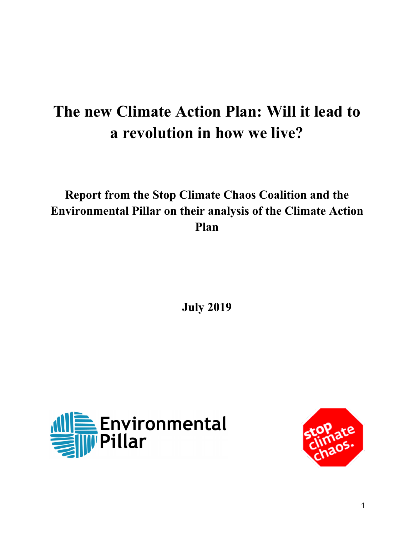# **The new Climate Action Plan: Will it lead to a revolution in how we live?**

# **Report from the Stop Climate Chaos Coalition and the Environmental Pillar on their analysis of the Climate Action Plan**

**July 2019**



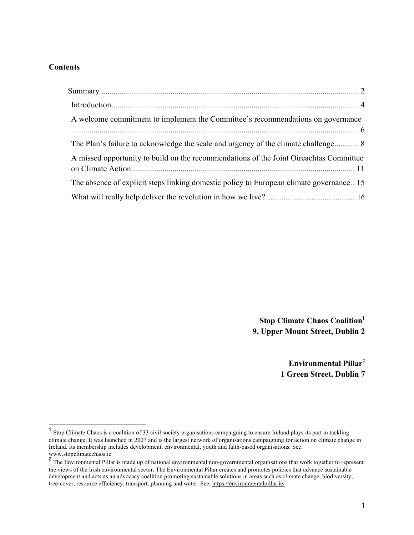#### **Contents**

| A welcome commitment to implement the Committee's recommendations on governance        |
|----------------------------------------------------------------------------------------|
| The Plan's failure to acknowledge the scale and urgency of the climate challenge 8     |
| A missed opportunity to build on the recommendations of the Joint Oireachtas Committee |
| The absence of explicit steps linking domestic policy to European climate governance15 |
|                                                                                        |

**Stop Climate Chaos Coalition1 9, Upper Mount Street, Dublin 2**

> **Environmental Pillar2 1 Green Street, Dublin 7**

<sup>&</sup>lt;sup>1</sup> Stop Climate Chaos is a coalition of 33 civil society organisations campaigning to ensure Ireland plays its part in tackling climate change. It was launched in 2007 and is the largest network of organisations campaigning for action on climate change in Ireland. Its membership includes development, environmental, youth and faith-based organisations. See: www.stopclimatechaos.ie

 $\overline{a}$  The Environmental Pillar is made up of national environmental non-governmental organisations that work together to represent the views of the Irish environmental sector. The Environmental Pillar creates and promotes policies that advance sustainable development and acts as an advocacy coalition promoting sustainable solutions in areas such as climate change, biodiversity, tree-cover, resource efficiency, transport, planning and water. See: https://environmentalpillar.ie/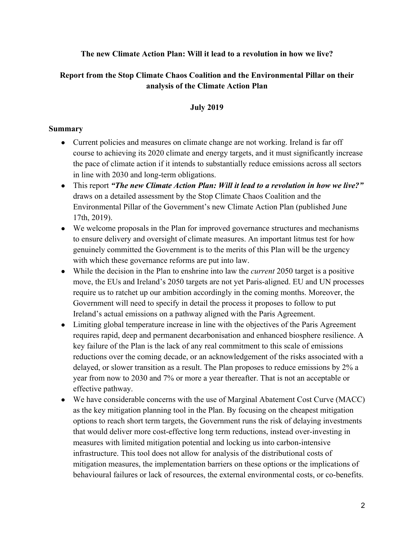**The new Climate Action Plan: Will it lead to a revolution in how we live?**

### **Report from the Stop Climate Chaos Coalition and the Environmental Pillar on their analysis of the Climate Action Plan**

#### **July 2019**

#### **Summary**

- Current policies and measures on climate change are not working. Ireland is far off course to achieving its 2020 climate and energy targets, and it must significantly increase the pace of climate action if it intends to substantially reduce emissions across all sectors in line with 2030 and long-term obligations.
- This report *"The new Climate Action Plan: Will it lead to a revolution in how we live?"*  draws on a detailed assessment by the Stop Climate Chaos Coalition and the Environmental Pillar of the Government's new Climate Action Plan (published June 17th, 2019).
- We welcome proposals in the Plan for improved governance structures and mechanisms to ensure delivery and oversight of climate measures. An important litmus test for how genuinely committed the Government is to the merits of this Plan will be the urgency with which these governance reforms are put into law.
- While the decision in the Plan to enshrine into law the *current* 2050 target is a positive move, the EUs and Ireland's 2050 targets are not yet Paris-aligned. EU and UN processes require us to ratchet up our ambition accordingly in the coming months. Moreover, the Government will need to specify in detail the process it proposes to follow to put Ireland's actual emissions on a pathway aligned with the Paris Agreement.
- Limiting global temperature increase in line with the objectives of the Paris Agreement requires rapid, deep and permanent decarbonisation and enhanced biosphere resilience. A key failure of the Plan is the lack of any real commitment to this scale of emissions reductions over the coming decade, or an acknowledgement of the risks associated with a delayed, or slower transition as a result. The Plan proposes to reduce emissions by 2% a year from now to 2030 and 7% or more a year thereafter. That is not an acceptable or effective pathway.
- We have considerable concerns with the use of Marginal Abatement Cost Curve (MACC) as the key mitigation planning tool in the Plan. By focusing on the cheapest mitigation options to reach short term targets, the Government runs the risk of delaying investments that would deliver more cost-effective long term reductions, instead over-investing in measures with limited mitigation potential and locking us into carbon-intensive infrastructure. This tool does not allow for analysis of the distributional costs of mitigation measures, the implementation barriers on these options or the implications of behavioural failures or lack of resources, the external environmental costs, or co-benefits.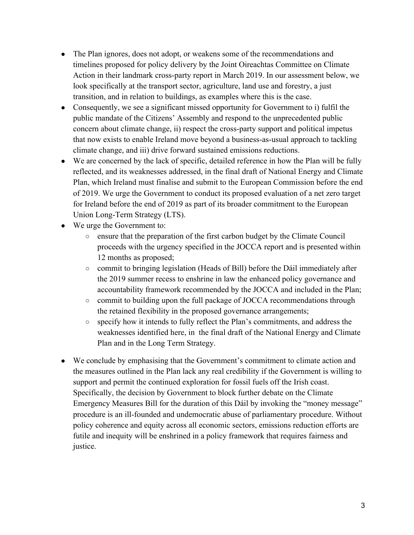- The Plan ignores, does not adopt, or weakens some of the recommendations and timelines proposed for policy delivery by the Joint Oireachtas Committee on Climate Action in their landmark cross-party report in March 2019. In our assessment below, we look specifically at the transport sector, agriculture, land use and forestry, a just transition, and in relation to buildings, as examples where this is the case.
- Consequently, we see a significant missed opportunity for Government to i) fulfil the public mandate of the Citizens' Assembly and respond to the unprecedented public concern about climate change, ii) respect the cross-party support and political impetus that now exists to enable Ireland move beyond a business-as-usual approach to tackling climate change, and iii) drive forward sustained emissions reductions.
- We are concerned by the lack of specific, detailed reference in how the Plan will be fully reflected, and its weaknesses addressed, in the final draft of National Energy and Climate Plan, which Ireland must finalise and submit to the European Commission before the end of 2019. We urge the Government to conduct its proposed evaluation of a net zero target for Ireland before the end of 2019 as part of its broader commitment to the European Union Long-Term Strategy (LTS).
- We urge the Government to:
	- ensure that the preparation of the first carbon budget by the Climate Council proceeds with the urgency specified in the JOCCA report and is presented within 12 months as proposed;
	- commit to bringing legislation (Heads of Bill) before the Dáil immediately after the 2019 summer recess to enshrine in law the enhanced policy governance and accountability framework recommended by the JOCCA and included in the Plan;
	- commit to building upon the full package of JOCCA recommendations through the retained flexibility in the proposed governance arrangements;
	- specify how it intends to fully reflect the Plan's commitments, and address the weaknesses identified here, in the final draft of the National Energy and Climate Plan and in the Long Term Strategy.
- We conclude by emphasising that the Government's commitment to climate action and the measures outlined in the Plan lack any real credibility if the Government is willing to support and permit the continued exploration for fossil fuels off the Irish coast. Specifically, the decision by Government to block further debate on the Climate Emergency Measures Bill for the duration of this Dáil by invoking the "money message" procedure is an ill-founded and undemocratic abuse of parliamentary procedure. Without policy coherence and equity across all economic sectors, emissions reduction efforts are futile and inequity will be enshrined in a policy framework that requires fairness and justice.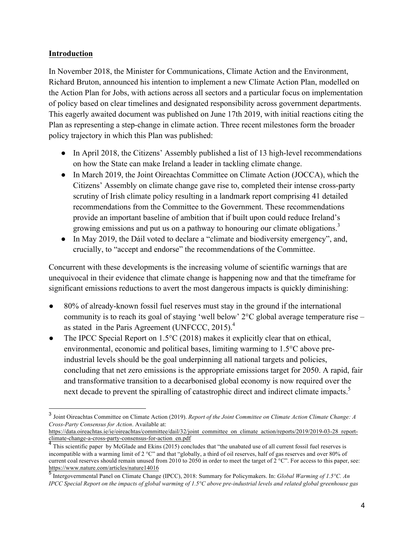#### **Introduction**

In November 2018, the Minister for Communications, Climate Action and the Environment, Richard Bruton, announced his intention to implement a new Climate Action Plan, modelled on the Action Plan for Jobs, with actions across all sectors and a particular focus on implementation of policy based on clear timelines and designated responsibility across government departments. This eagerly awaited document was published on June 17th 2019, with initial reactions citing the Plan as representing a step-change in climate action. Three recent milestones form the broader policy trajectory in which this Plan was published:

- In April 2018, the Citizens' Assembly published a list of 13 high-level recommendations on how the State can make Ireland a leader in tackling climate change.
- In March 2019, the Joint Oireachtas Committee on Climate Action (JOCCA), which the Citizens' Assembly on climate change gave rise to, completed their intense cross-party scrutiny of Irish climate policy resulting in a landmark report comprising 41 detailed recommendations from the Committee to the Government. These recommendations provide an important baseline of ambition that if built upon could reduce Ireland's growing emissions and put us on a pathway to honouring our climate obligations.<sup>3</sup>
- In May 2019, the Dáil voted to declare a "climate and biodiversity emergency", and, crucially, to "accept and endorse" the recommendations of the Committee.

Concurrent with these developments is the increasing volume of scientific warnings that are unequivocal in their evidence that climate change is happening now and that the timeframe for significant emissions reductions to avert the most dangerous impacts is quickly diminishing:

- 80% of already-known fossil fuel reserves must stay in the ground if the international community is to reach its goal of staying 'well below' 2°C global average temperature rise – as stated in the Paris Agreement (UNFCCC,  $2015$ ).<sup>4</sup>
- The IPCC Special Report on  $1.5^{\circ}$ C (2018) makes it explicitly clear that on ethical, environmental, economic and political bases, limiting warming to 1.5°C above preindustrial levels should be the goal underpinning all national targets and policies, concluding that net zero emissions is the appropriate emissions target for 2050. A rapid, fair and transformative transition to a decarbonised global economy is now required over the next decade to prevent the spiralling of catastrophic direct and indirect climate impacts.<sup>5</sup>

https://data.oireachtas.ie/ie/oireachtas/committee/dail/32/joint\_committee\_on\_climate\_action/reports/2019/2019-03-28\_reportclimate-change-a-cross-party-consensus-for-action\_en.pdf

 <sup>3</sup> Joint Oireachtas Committee on Climate Action (2019). *Report of the Joint Committee on Climate Action Climate Change: A Cross-Party Consensus for Action*. Available at:

<sup>&</sup>lt;sup>4</sup> This scientific paper by McGlade and Ekins (2015) concludes that "the unabated use of all current fossil fuel reserves is incompatible with a warming limit of 2 °C" and that "globally, a third of oil reserves, half of gas reserves and over 80% of current coal reserves should remain unused from 2010 to 2050 in order to meet the target of  $2^{\circ}$ C". For access to this paper, see: https://www.nature.com/articles/nature14016

<sup>5</sup> Intergovernmental Panel on Climate Change (IPCC), 2018: Summary for Policymakers. In: *Global Warming of 1.5°C. An IPCC Special Report on the impacts of global warming of 1.5°C above pre-industrial levels and related global greenhouse gas*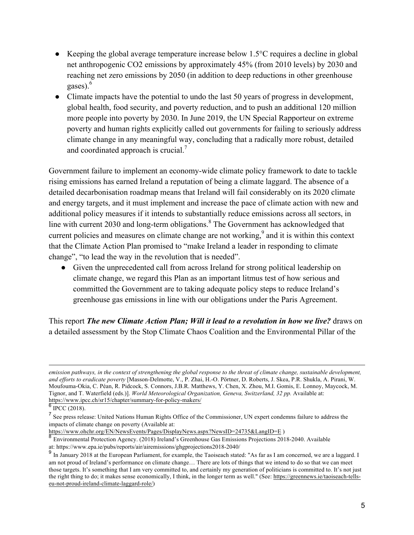- Keeping the global average temperature increase below  $1.5^{\circ}$ C requires a decline in global net anthropogenic CO2 emissions by approximately 45% (from 2010 levels) by 2030 and reaching net zero emissions by 2050 (in addition to deep reductions in other greenhouse gases).<sup>6</sup>
- Climate impacts have the potential to undo the last 50 years of progress in development, global health, food security, and poverty reduction, and to push an additional 120 million more people into poverty by 2030. In June 2019, the UN Special Rapporteur on extreme poverty and human rights explicitly called out governments for failing to seriously address climate change in any meaningful way, concluding that a radically more robust, detailed and coordinated approach is crucial.<sup>7</sup>

Government failure to implement an economy-wide climate policy framework to date to tackle rising emissions has earned Ireland a reputation of being a climate laggard. The absence of a detailed decarbonisation roadmap means that Ireland will fail considerably on its 2020 climate and energy targets, and it must implement and increase the pace of climate action with new and additional policy measures if it intends to substantially reduce emissions across all sectors, in line with current 2030 and long-term obligations.<sup>8</sup> The Government has acknowledged that current policies and measures on climate change are not working,<sup>9</sup> and it is within this context that the Climate Action Plan promised to "make Ireland a leader in responding to climate change", "to lead the way in the revolution that is needed".

● Given the unprecedented call from across Ireland for strong political leadership on climate change, we regard this Plan as an important litmus test of how serious and committed the Government are to taking adequate policy steps to reduce Ireland's greenhouse gas emissions in line with our obligations under the Paris Agreement.

This report *The new Climate Action Plan; Will it lead to a revolution in how we live?* draws on a detailed assessment by the Stop Climate Chaos Coalition and the Environmental Pillar of the

https://www.ohchr.org/EN/NewsEvents/Pages/DisplayNews.aspx?NewsID=24735&LangID=E )

*emission pathways, in the context of strengthening the global response to the threat of climate change, sustainable development, and efforts to eradicate poverty* [Masson-Delmotte, V., P. Zhai, H.-O. Pörtner, D. Roberts, J. Skea, P.R. Shukla, A. Pirani, W. Moufouma-Okia, C. Péan, R. Pidcock, S. Connors, J.B.R. Matthews, Y. Chen, X. Zhou, M.I. Gomis, E. Lonnoy, Maycock, M. Tignor, and T. Waterfield (eds.)]. *World Meteorological Organization, Geneva, Switzerland, 32 pp.* Available at: https://www.ipcc.ch/sr15/chapter/summary-for-policy-makers/

 $6$  IPCC (2018).

<sup>7</sup> See press release: United Nations Human Rights Office of the Commissioner, UN expert condemns failure to address the impacts of climate change on poverty (Available at:

<sup>8</sup> Environmental Protection Agency. (2018) Ireland's Greenhouse Gas Emissions Projections 2018-2040. Available at: https://www.epa.ie/pubs/reports/air/airemissions/ghgprojections2018-2040/

<sup>&</sup>lt;sup>9</sup> In January 2018 at the European Parliament, for example, the Taoiseach stated: "As far as I am concerned, we are a laggard. I am not proud of Ireland's performance on climate change… There are lots of things that we intend to do so that we can meet those targets. It's something that I am very committed to, and certainly my generation of politicians is committed to. It's not just the right thing to do; it makes sense economically, I think, in the longer term as well." (See: https://greennews.ie/taoiseach-tellseu-not-proud-ireland-climate-laggard-role/)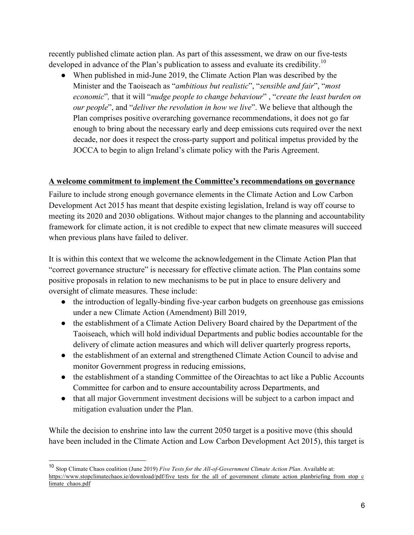recently published climate action plan. As part of this assessment, we draw on our five-tests developed in advance of the Plan's publication to assess and evaluate its credibility.<sup>10</sup>

• When published in mid-June 2019, the Climate Action Plan was described by the Minister and the Taoiseach as "*ambitious but realistic*", "*sensible and fair*", "*most economic*"*,* that it will "*nudge people to change behaviour*" , "*create the least burden on our people*", and "*deliver the revolution in how we live*". We believe that although the Plan comprises positive overarching governance recommendations, it does not go far enough to bring about the necessary early and deep emissions cuts required over the next decade, nor does it respect the cross-party support and political impetus provided by the JOCCA to begin to align Ireland's climate policy with the Paris Agreement.

#### **A welcome commitment to implement the Committee's recommendations on governance**

Failure to include strong enough governance elements in the Climate Action and Low Carbon Development Act 2015 has meant that despite existing legislation, Ireland is way off course to meeting its 2020 and 2030 obligations. Without major changes to the planning and accountability framework for climate action, it is not credible to expect that new climate measures will succeed when previous plans have failed to deliver.

It is within this context that we welcome the acknowledgement in the Climate Action Plan that "correct governance structure" is necessary for effective climate action. The Plan contains some positive proposals in relation to new mechanisms to be put in place to ensure delivery and oversight of climate measures. These include:

- the introduction of legally-binding five-year carbon budgets on greenhouse gas emissions under a new Climate Action (Amendment) Bill 2019,
- the establishment of a Climate Action Delivery Board chaired by the Department of the Taoiseach, which will hold individual Departments and public bodies accountable for the delivery of climate action measures and which will deliver quarterly progress reports,
- the establishment of an external and strengthened Climate Action Council to advise and monitor Government progress in reducing emissions,
- the establishment of a standing Committee of the Oireachtas to act like a Public Accounts Committee for carbon and to ensure accountability across Departments, and
- that all major Government investment decisions will be subject to a carbon impact and mitigation evaluation under the Plan.

While the decision to enshrine into law the current 2050 target is a positive move (this should have been included in the Climate Action and Low Carbon Development Act 2015), this target is

 <sup>10</sup> Stop Climate Chaos coalition (June 2019) *Five Tests for the All-of-Government Climate Action Plan*. Available at: https://www.stopclimatechaos.ie/download/pdf/five\_tests\_for\_the\_all\_of\_government\_climate\_action\_planbriefing\_from\_stop\_c limate\_chaos.pdf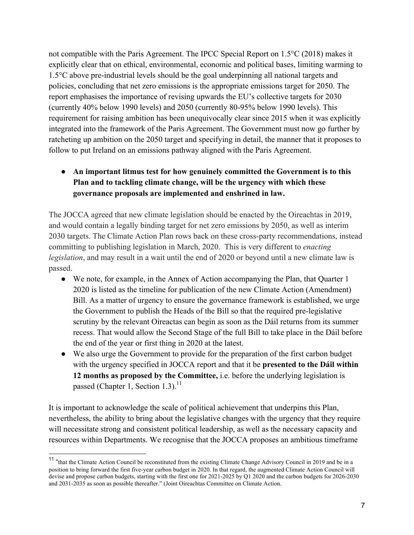not compatible with the Paris Agreement. The IPCC Special Report on 1.5°C (2018) makes it explicitly clear that on ethical, environmental, economic and political bases, limiting warming to 1.5°C above pre-industrial levels should be the goal underpinning all national targets and policies, concluding that net zero emissions is the appropriate emissions target for 2050. The report emphasises the importance of revising upwards the EU's collective targets for 2030 (currently 40% below 1990 levels) and 2050 (currently 80-95% below 1990 levels). This requirement for raising ambition has been unequivocally clear since 2015 when it was explicitly integrated into the framework of the Paris Agreement. The Government must now go further by ratcheting up ambition on the 2050 target and specifying in detail, the manner that it proposes to follow to put Ireland on an emissions pathway aligned with the Paris Agreement.

# ● **An important litmus test for how genuinely committed the Government is to this Plan and to tackling climate change, will be the urgency with which these governance proposals are implemented and enshrined in law.**

The JOCCA agreed that new climate legislation should be enacted by the Oireachtas in 2019, and would contain a legally binding target for net zero emissions by 2050, as well as interim 2030 targets. The Climate Action Plan rows back on these cross-party recommendations, instead committing to publishing legislation in March, 2020. This is very different to *enacting legislation*, and may result in a wait until the end of 2020 or beyond until a new climate law is passed.

- We note, for example, in the Annex of Action accompanying the Plan, that Quarter 1 2020 is listed as the timeline for publication of the new Climate Action (Amendment) Bill. As a matter of urgency to ensure the governance framework is established, we urge the Government to publish the Heads of the Bill so that the required pre-legislative scrutiny by the relevant Oireactas can begin as soon as the Dáil returns from its summer recess. That would allow the Second Stage of the full Bill to take place in the Dáil before the end of the year or first thing in 2020 at the latest.
- We also urge the Government to provide for the preparation of the first carbon budget with the urgency specified in JOCCA report and that it be **presented to the Dáil within 12 months as proposed by the Committee,** i.e. before the underlying legislation is passed (Chapter 1, Section 1.3).<sup>11</sup>

It is important to acknowledge the scale of political achievement that underpins this Plan, nevertheless, the ability to bring about the legislative changes with the urgency that they require will necessitate strong and consistent political leadership, as well as the necessary capacity and resources within Departments. We recognise that the JOCCA proposes an ambitious timeframe

<sup>&</sup>lt;sup>11</sup> "that the Climate Action Council be reconstituted from the existing Climate Change Advisory Council in 2019 and be in a position to bring forward the first five-year carbon budget in 2020. In that regard, the augmented Climate Action Council will devise and propose carbon budgets, starting with the first one for 2021-2025 by Q1 2020 and the carbon budgets for 2026-2030 and 2031-2035 as soon as possible thereafter." (Joint Oireachtas Committee on Climate Action.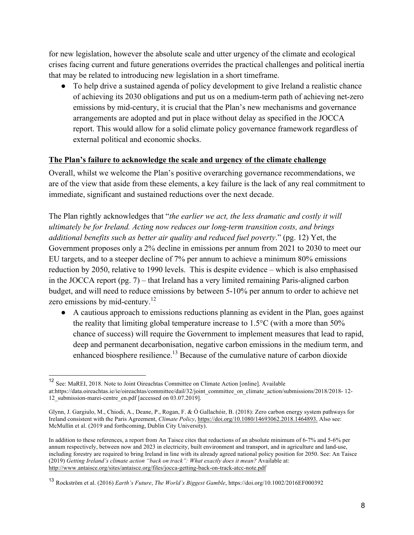for new legislation, however the absolute scale and utter urgency of the climate and ecological crises facing current and future generations overrides the practical challenges and political inertia that may be related to introducing new legislation in a short timeframe.

● To help drive a sustained agenda of policy development to give Ireland a realistic chance of achieving its 2030 obligations and put us on a medium-term path of achieving net-zero emissions by mid-century, it is crucial that the Plan's new mechanisms and governance arrangements are adopted and put in place without delay as specified in the JOCCA report. This would allow for a solid climate policy governance framework regardless of external political and economic shocks.

#### **The Plan's failure to acknowledge the scale and urgency of the climate challenge**

Overall, whilst we welcome the Plan's positive overarching governance recommendations, we are of the view that aside from these elements, a key failure is the lack of any real commitment to immediate, significant and sustained reductions over the next decade.

The Plan rightly acknowledges that "*the earlier we act, the less dramatic and costly it will ultimately be for Ireland. Acting now reduces our long-term transition costs, and brings additional benefits such as better air quality and reduced fuel poverty*." (pg. 12) Yet, the Government proposes only a 2% decline in emissions per annum from 2021 to 2030 to meet our EU targets, and to a steeper decline of 7% per annum to achieve a minimum 80% emissions reduction by 2050, relative to 1990 levels. This is despite evidence – which is also emphasised in the JOCCA report (pg. 7) – that Ireland has a very limited remaining Paris-aligned carbon budget, and will need to reduce emissions by between 5-10% per annum to order to achieve net zero emissions by mid-century.<sup>12</sup>

● A cautious approach to emissions reductions planning as evident in the Plan, goes against the reality that limiting global temperature increase to 1.5°C (with a more than 50% chance of success) will require the Government to implement measures that lead to rapid, deep and permanent decarbonisation, negative carbon emissions in the medium term, and enhanced biosphere resilience.<sup>13</sup> Because of the cumulative nature of carbon dioxide

 <sup>12</sup> See: MaREI, 2018. Note to Joint Oireachtas Committee on Climate Action [online]. Available

at:https://data.oireachtas.ie/ie/oireachtas/committee/dail/32/joint\_committee\_on\_climate\_action/submissions/2018/2018- 12- 12\_submission-marei-centre\_en.pdf [accessed on 03.07.2019].

Glynn, J. Gargiulo, M., Chiodi, A., Deane, P., Rogan, F. & Ó Gallachóir, B. (2018): Zero carbon energy system pathways for Ireland consistent with the Paris Agreement, *Climate Policy*, https://doi.org/10.1080/14693062.2018.1464893. Also see: McMullin et al. (2019 and forthcoming, Dublin City University).

In addition to these references, a report from An Taisce cites that reductions of an absolute minimum of 6-7% and 5-6% per annum respectively, between now and 2023 in electricity, built environment and transport, and in agriculture and land-use, including forestry are required to bring Ireland in line with its already agreed national policy position for 2050. See: An Taisce (2019) *Getting Ireland's climate action "back on track": What exactly does it mean?* Available at: http://www.antaisce.org/sites/antaisce.org/files/jocca-getting-back-on-track-atcc-note.pdf

<sup>13</sup> Rockström et al. (2016) *Earth's Future*, *The World's Biggest Gamble*, https://doi.org/10.1002/2016EF000392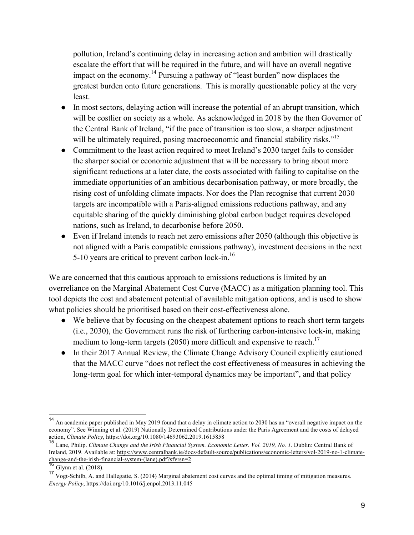pollution, Ireland's continuing delay in increasing action and ambition will drastically escalate the effort that will be required in the future, and will have an overall negative impact on the economy.<sup>14</sup> Pursuing a pathway of "least burden" now displaces the greatest burden onto future generations. This is morally questionable policy at the very least.

- In most sectors, delaying action will increase the potential of an abrupt transition, which will be costlier on society as a whole. As acknowledged in 2018 by the then Governor of the Central Bank of Ireland, "if the pace of transition is too slow, a sharper adjustment will be ultimately required, posing macroeconomic and financial stability risks."<sup>15</sup>
- Commitment to the least action required to meet Ireland's 2030 target fails to consider the sharper social or economic adjustment that will be necessary to bring about more significant reductions at a later date, the costs associated with failing to capitalise on the immediate opportunities of an ambitious decarbonisation pathway, or more broadly, the rising cost of unfolding climate impacts. Nor does the Plan recognise that current 2030 targets are incompatible with a Paris-aligned emissions reductions pathway, and any equitable sharing of the quickly diminishing global carbon budget requires developed nations, such as Ireland, to decarbonise before 2050.
- Even if Ireland intends to reach net zero emissions after 2050 (although this objective is not aligned with a Paris compatible emissions pathway), investment decisions in the next 5-10 years are critical to prevent carbon lock-in.16

We are concerned that this cautious approach to emissions reductions is limited by an overreliance on the Marginal Abatement Cost Curve (MACC) as a mitigation planning tool. This tool depicts the cost and abatement potential of available mitigation options, and is used to show what policies should be prioritised based on their cost-effectiveness alone.

- We believe that by focusing on the cheapest abatement options to reach short term targets (i.e., 2030), the Government runs the risk of furthering carbon-intensive lock-in, making medium to long-term targets (2050) more difficult and expensive to reach.<sup>17</sup>
- In their 2017 Annual Review, the Climate Change Advisory Council explicitly cautioned that the MACC curve "does not reflect the cost effectiveness of measures in achieving the long-term goal for which inter-temporal dynamics may be important", and that policy

 <sup>14</sup> An academic paper published in May 2019 found that a delay in climate action to 2030 has an "overall negative impact on the economy". See Winning et al. (2019) Nationally Determined Contributions under the Paris Agreement and the costs of delayed action, *Climate Policy*, https://doi.org/10.1080/14693062.2019.1615858

<sup>15</sup> Lane, Philip. *Climate Change and the Irish Financial System. Economic Letter. Vol. 2019, No. 1*. Dublin: Central Bank of Ireland, 2019. Available at: https://www.centralbank.ie/docs/default-source/publications/economic-letters/vol-2019-no-1-climatechange-and-the-irish-financial-system-(lane).pdf?sfvrsn=2<br>16 Cl

Glynn et al. (2018).

<sup>17</sup> Vogt-Schilb, A. and Hallegatte, S. (2014) Marginal abatement cost curves and the optimal timing of mitigation measures. *Energy Policy*, https://doi.org/10.1016/j.enpol.2013.11.045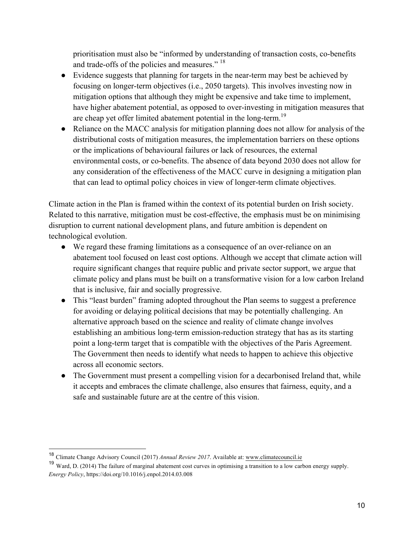prioritisation must also be "informed by understanding of transaction costs, co-benefits and trade-offs of the policies and measures." 18

- Evidence suggests that planning for targets in the near-term may best be achieved by focusing on longer-term objectives (i.e., 2050 targets). This involves investing now in mitigation options that although they might be expensive and take time to implement, have higher abatement potential, as opposed to over-investing in mitigation measures that are cheap yet offer limited abatement potential in the long-term.<sup>19</sup>
- Reliance on the MACC analysis for mitigation planning does not allow for analysis of the distributional costs of mitigation measures, the implementation barriers on these options or the implications of behavioural failures or lack of resources, the external environmental costs, or co-benefits. The absence of data beyond 2030 does not allow for any consideration of the effectiveness of the MACC curve in designing a mitigation plan that can lead to optimal policy choices in view of longer-term climate objectives.

Climate action in the Plan is framed within the context of its potential burden on Irish society. Related to this narrative, mitigation must be cost-effective, the emphasis must be on minimising disruption to current national development plans, and future ambition is dependent on technological evolution.

- We regard these framing limitations as a consequence of an over-reliance on an abatement tool focused on least cost options. Although we accept that climate action will require significant changes that require public and private sector support, we argue that climate policy and plans must be built on a transformative vision for a low carbon Ireland that is inclusive, fair and socially progressive.
- This "least burden" framing adopted throughout the Plan seems to suggest a preference for avoiding or delaying political decisions that may be potentially challenging. An alternative approach based on the science and reality of climate change involves establishing an ambitious long-term emission-reduction strategy that has as its starting point a long-term target that is compatible with the objectives of the Paris Agreement. The Government then needs to identify what needs to happen to achieve this objective across all economic sectors.
- The Government must present a compelling vision for a decarbonised Ireland that, while it accepts and embraces the climate challenge, also ensures that fairness, equity, and a safe and sustainable future are at the centre of this vision.

 <sup>18</sup> Climate Change Advisory Council (2017) *Annual Review 2017*. Available at: www.climatecouncil.ie

<sup>19</sup> Ward, D. (2014) The failure of marginal abatement cost curves in optimising a transition to a low carbon energy supply. *Energy Policy*, https://doi.org/10.1016/j.enpol.2014.03.008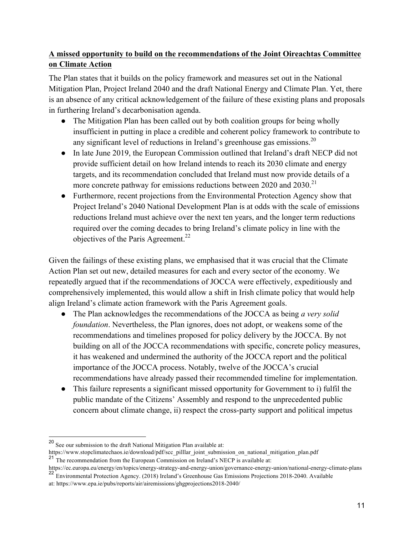# **A missed opportunity to build on the recommendations of the Joint Oireachtas Committee on Climate Action**

The Plan states that it builds on the policy framework and measures set out in the National Mitigation Plan, Project Ireland 2040 and the draft National Energy and Climate Plan. Yet, there is an absence of any critical acknowledgement of the failure of these existing plans and proposals in furthering Ireland's decarbonisation agenda.

- The Mitigation Plan has been called out by both coalition groups for being wholly insufficient in putting in place a credible and coherent policy framework to contribute to any significant level of reductions in Ireland's greenhouse gas emissions.<sup>20</sup>
- In late June 2019, the European Commission outlined that Ireland's draft NECP did not provide sufficient detail on how Ireland intends to reach its 2030 climate and energy targets, and its recommendation concluded that Ireland must now provide details of a more concrete pathway for emissions reductions between 2020 and 2030.<sup>21</sup>
- Furthermore, recent projections from the Environmental Protection Agency show that Project Ireland's 2040 National Development Plan is at odds with the scale of emissions reductions Ireland must achieve over the next ten years, and the longer term reductions required over the coming decades to bring Ireland's climate policy in line with the objectives of the Paris Agreement.<sup>22</sup>

Given the failings of these existing plans, we emphasised that it was crucial that the Climate Action Plan set out new, detailed measures for each and every sector of the economy. We repeatedly argued that if the recommendations of JOCCA were effectively, expeditiously and comprehensively implemented, this would allow a shift in Irish climate policy that would help align Ireland's climate action framework with the Paris Agreement goals.

- The Plan acknowledges the recommendations of the JOCCA as being *a very solid foundation*. Nevertheless, the Plan ignores, does not adopt, or weakens some of the recommendations and timelines proposed for policy delivery by the JOCCA. By not building on all of the JOCCA recommendations with specific, concrete policy measures, it has weakened and undermined the authority of the JOCCA report and the political importance of the JOCCA process. Notably, twelve of the JOCCA's crucial recommendations have already passed their recommended timeline for implementation.
- This failure represents a significant missed opportunity for Government to i) fulfil the public mandate of the Citizens' Assembly and respond to the unprecedented public concern about climate change, ii) respect the cross-party support and political impetus

 <sup>20</sup> See our submission to the draft National Mitigation Plan available at:

https://www.stopclimatechaos.ie/download/pdf/scc\_pilllar\_joint\_submission\_on\_national\_mitigation\_plan.pdf <sup>21</sup> The recommendation from the European Commission on Ireland's NECP is available at:

https://ec.europa.eu/energy/en/topics/energy-strategy-and-energy-union/governance-energy-union/national-energy-climate-plans

<sup>22</sup> Environmental Protection Agency. (2018) Ireland's Greenhouse Gas Emissions Projections 2018-2040. Available

at: https://www.epa.ie/pubs/reports/air/airemissions/ghgprojections2018-2040/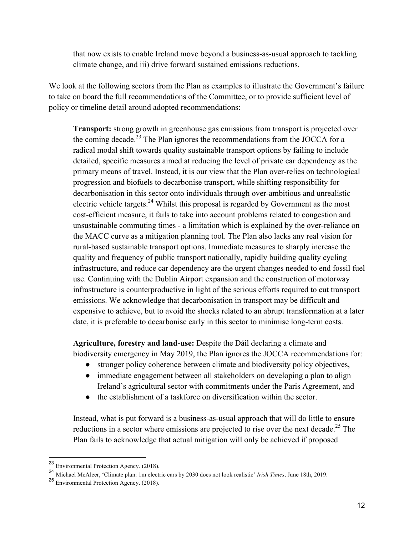that now exists to enable Ireland move beyond a business-as-usual approach to tackling climate change, and iii) drive forward sustained emissions reductions.

We look at the following sectors from the Plan as examples to illustrate the Government's failure to take on board the full recommendations of the Committee, or to provide sufficient level of policy or timeline detail around adopted recommendations:

**Transport:** strong growth in greenhouse gas emissions from transport is projected over the coming decade.<sup>23</sup> The Plan ignores the recommendations from the JOCCA for a radical modal shift towards quality sustainable transport options by failing to include detailed, specific measures aimed at reducing the level of private car dependency as the primary means of travel. Instead, it is our view that the Plan over-relies on technological progression and biofuels to decarbonise transport, while shifting responsibility for decarbonisation in this sector onto individuals through over-ambitious and unrealistic electric vehicle targets.<sup>24</sup> Whilst this proposal is regarded by Government as the most cost-efficient measure, it fails to take into account problems related to congestion and unsustainable commuting times - a limitation which is explained by the over-reliance on the MACC curve as a mitigation planning tool. The Plan also lacks any real vision for rural-based sustainable transport options. Immediate measures to sharply increase the quality and frequency of public transport nationally, rapidly building quality cycling infrastructure, and reduce car dependency are the urgent changes needed to end fossil fuel use. Continuing with the Dublin Airport expansion and the construction of motorway infrastructure is counterproductive in light of the serious efforts required to cut transport emissions. We acknowledge that decarbonisation in transport may be difficult and expensive to achieve, but to avoid the shocks related to an abrupt transformation at a later date, it is preferable to decarbonise early in this sector to minimise long-term costs.

**Agriculture, forestry and land-use:** Despite the Dáil declaring a climate and biodiversity emergency in May 2019, the Plan ignores the JOCCA recommendations for:

- stronger policy coherence between climate and biodiversity policy objectives,
- immediate engagement between all stakeholders on developing a plan to align Ireland's agricultural sector with commitments under the Paris Agreement, and
- the establishment of a taskforce on diversification within the sector.

Instead, what is put forward is a business-as-usual approach that will do little to ensure reductions in a sector where emissions are projected to rise over the next decade.<sup>25</sup> The Plan fails to acknowledge that actual mitigation will only be achieved if proposed

 <sup>23</sup> Environmental Protection Agency. (2018).

<sup>24</sup> Michael McAleer, 'Climate plan: 1m electric cars by 2030 does not look realistic' *Irish Times*, June 18th, 2019.

<sup>25</sup> Environmental Protection Agency. (2018).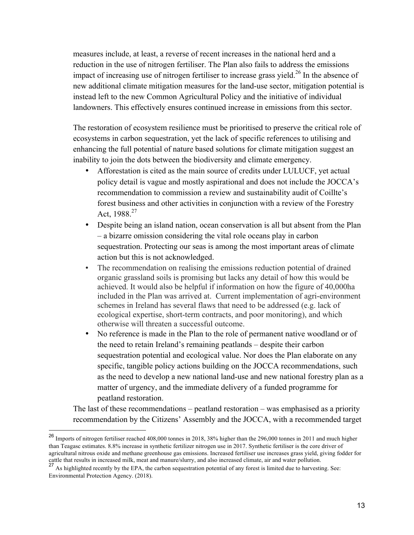measures include, at least, a reverse of recent increases in the national herd and a reduction in the use of nitrogen fertiliser. The Plan also fails to address the emissions impact of increasing use of nitrogen fertiliser to increase grass yield.<sup>26</sup> In the absence of new additional climate mitigation measures for the land-use sector, mitigation potential is instead left to the new Common Agricultural Policy and the initiative of individual landowners. This effectively ensures continued increase in emissions from this sector.

The restoration of ecosystem resilience must be prioritised to preserve the critical role of ecosystems in carbon sequestration, yet the lack of specific references to utilising and enhancing the full potential of nature based solutions for climate mitigation suggest an inability to join the dots between the biodiversity and climate emergency.

- Afforestation is cited as the main source of credits under LULUCF, yet actual policy detail is vague and mostly aspirational and does not include the JOCCA's recommendation to commission a review and sustainability audit of Coillte's forest business and other activities in conjunction with a review of the Forestry Act, 1988.<sup>27</sup>
- Despite being an island nation, ocean conservation is all but absent from the Plan – a bizarre omission considering the vital role oceans play in carbon sequestration. Protecting our seas is among the most important areas of climate action but this is not acknowledged.
- The recommendation on realising the emissions reduction potential of drained organic grassland soils is promising but lacks any detail of how this would be achieved. It would also be helpful if information on how the figure of 40,000ha included in the Plan was arrived at. Current implementation of agri-environment schemes in Ireland has several flaws that need to be addressed (e.g. lack of ecological expertise, short-term contracts, and poor monitoring), and which otherwise will threaten a successful outcome.
- No reference is made in the Plan to the role of permanent native woodland or of the need to retain Ireland's remaining peatlands – despite their carbon sequestration potential and ecological value. Nor does the Plan elaborate on any specific, tangible policy actions building on the JOCCA recommendations, such as the need to develop a new national land-use and new national forestry plan as a matter of urgency, and the immediate delivery of a funded programme for peatland restoration.

The last of these recommendations – peatland restoration – was emphasised as a priority recommendation by the Citizens' Assembly and the JOCCA, with a recommended target

 <sup>26</sup> Imports of nitrogen fertiliser reached 408,000 tonnes in 2018, 38% higher than the 296,000 tonnes in 2011 and much higher than Teagasc estimates. 8.8% increase in synthetic fertilizer nitrogen use in 2017. Synthetic fertiliser is the core driver of agricultural nitrous oxide and methane greenhouse gas emissions. Increased fertiliser use increases grass yield, giving fodder for cattle that results in increased milk, meat and manure/slurry, and also increased climate, air and water pollution.

<sup>27</sup> As highlighted recently by the EPA, the carbon sequestration potential of any forest is limited due to harvesting. See: Environmental Protection Agency. (2018).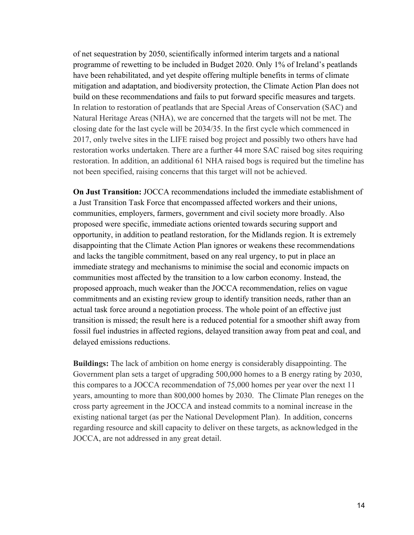of net sequestration by 2050, scientifically informed interim targets and a national programme of rewetting to be included in Budget 2020. Only 1% of Ireland's peatlands have been rehabilitated, and yet despite offering multiple benefits in terms of climate mitigation and adaptation, and biodiversity protection, the Climate Action Plan does not build on these recommendations and fails to put forward specific measures and targets. In relation to restoration of peatlands that are Special Areas of Conservation (SAC) and Natural Heritage Areas (NHA), we are concerned that the targets will not be met. The closing date for the last cycle will be 2034/35. In the first cycle which commenced in 2017, only twelve sites in the LIFE raised bog project and possibly two others have had restoration works undertaken. There are a further 44 more SAC raised bog sites requiring restoration. In addition, an additional 61 NHA raised bogs is required but the timeline has not been specified, raising concerns that this target will not be achieved.

**On Just Transition:** JOCCA recommendations included the immediate establishment of a Just Transition Task Force that encompassed affected workers and their unions, communities, employers, farmers, government and civil society more broadly. Also proposed were specific, immediate actions oriented towards securing support and opportunity, in addition to peatland restoration, for the Midlands region. It is extremely disappointing that the Climate Action Plan ignores or weakens these recommendations and lacks the tangible commitment, based on any real urgency, to put in place an immediate strategy and mechanisms to minimise the social and economic impacts on communities most affected by the transition to a low carbon economy. Instead, the proposed approach, much weaker than the JOCCA recommendation, relies on vague commitments and an existing review group to identify transition needs, rather than an actual task force around a negotiation process. The whole point of an effective just transition is missed; the result here is a reduced potential for a smoother shift away from fossil fuel industries in affected regions, delayed transition away from peat and coal, and delayed emissions reductions.

**Buildings:** The lack of ambition on home energy is considerably disappointing. The Government plan sets a target of upgrading 500,000 homes to a B energy rating by 2030, this compares to a JOCCA recommendation of 75,000 homes per year over the next 11 years, amounting to more than 800,000 homes by 2030. The Climate Plan reneges on the cross party agreement in the JOCCA and instead commits to a nominal increase in the existing national target (as per the National Development Plan). In addition, concerns regarding resource and skill capacity to deliver on these targets, as acknowledged in the JOCCA, are not addressed in any great detail.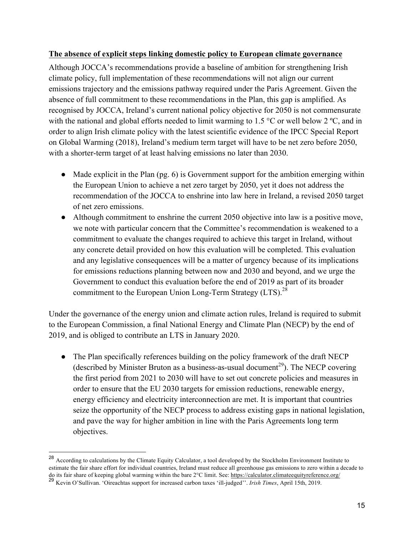#### **The absence of explicit steps linking domestic policy to European climate governance**

Although JOCCA's recommendations provide a baseline of ambition for strengthening Irish climate policy, full implementation of these recommendations will not align our current emissions trajectory and the emissions pathway required under the Paris Agreement. Given the absence of full commitment to these recommendations in the Plan, this gap is amplified. As recognised by JOCCA, Ireland's current national policy objective for 2050 is not commensurate with the national and global efforts needed to limit warming to 1.5 °C or well below 2 °C, and in order to align Irish climate policy with the latest scientific evidence of the IPCC Special Report on Global Warming (2018), Ireland's medium term target will have to be net zero before 2050, with a shorter-term target of at least halving emissions no later than 2030.

- Made explicit in the Plan (pg. 6) is Government support for the ambition emerging within the European Union to achieve a net zero target by 2050, yet it does not address the recommendation of the JOCCA to enshrine into law here in Ireland, a revised 2050 target of net zero emissions.
- Although commitment to enshrine the current 2050 objective into law is a positive move, we note with particular concern that the Committee's recommendation is weakened to a commitment to evaluate the changes required to achieve this target in Ireland, without any concrete detail provided on how this evaluation will be completed. This evaluation and any legislative consequences will be a matter of urgency because of its implications for emissions reductions planning between now and 2030 and beyond, and we urge the Government to conduct this evaluation before the end of 2019 as part of its broader commitment to the European Union Long-Term Strategy (LTS).<sup>28</sup>

Under the governance of the energy union and climate action rules, Ireland is required to submit to the European Commission, a final National Energy and Climate Plan (NECP) by the end of 2019, and is obliged to contribute an LTS in January 2020.

● The Plan specifically references building on the policy framework of the draft NECP (described by Minister Bruton as a business-as-usual document<sup>29</sup>). The NECP covering the first period from 2021 to 2030 will have to set out concrete policies and measures in order to ensure that the EU 2030 targets for emission reductions, renewable energy, energy efficiency and electricity interconnection are met. It is important that countries seize the opportunity of the NECP process to address existing gaps in national legislation, and pave the way for higher ambition in line with the Paris Agreements long term objectives.

 <sup>28</sup> According to calculations by the Climate Equity Calculator, a tool developed by the Stockholm Environment Institute to estimate the fair share effort for individual countries, Ireland must reduce all greenhouse gas emissions to zero within a decade to do its fair share of keeping global warming within the bare 2°C limit. See: https://calculator.climateequityreference.org/

<sup>29</sup> Kevin O'Sullivan. 'Oireachtas support for increased carbon taxes 'ill-judged''. *Irish Times*, April 15th, 2019.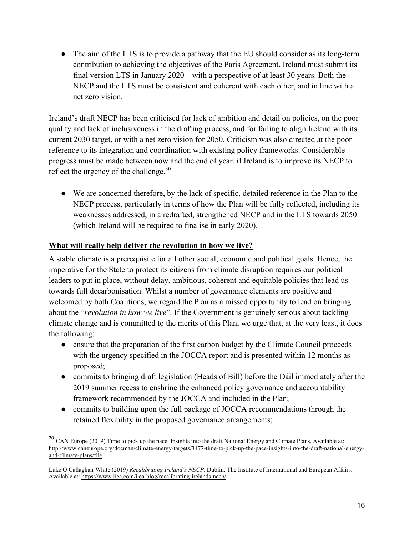• The aim of the LTS is to provide a pathway that the EU should consider as its long-term contribution to achieving the objectives of the Paris Agreement. Ireland must submit its final version LTS in January 2020 – with a perspective of at least 30 years. Both the NECP and the LTS must be consistent and coherent with each other, and in line with a net zero vision.

Ireland's draft NECP has been criticised for lack of ambition and detail on policies, on the poor quality and lack of inclusiveness in the drafting process, and for failing to align Ireland with its current 2030 target, or with a net zero vision for 2050. Criticism was also directed at the poor reference to its integration and coordination with existing policy frameworks. Considerable progress must be made between now and the end of year, if Ireland is to improve its NECP to reflect the urgency of the challenge. $30$ 

● We are concerned therefore, by the lack of specific, detailed reference in the Plan to the NECP process, particularly in terms of how the Plan will be fully reflected, including its weaknesses addressed, in a redrafted, strengthened NECP and in the LTS towards 2050 (which Ireland will be required to finalise in early 2020).

#### **What will really help deliver the revolution in how we live?**

A stable climate is a prerequisite for all other social, economic and political goals. Hence, the imperative for the State to protect its citizens from climate disruption requires our political leaders to put in place, without delay, ambitious, coherent and equitable policies that lead us towards full decarbonisation. Whilst a number of governance elements are positive and welcomed by both Coalitions, we regard the Plan as a missed opportunity to lead on bringing about the "*revolution in how we live*". If the Government is genuinely serious about tackling climate change and is committed to the merits of this Plan, we urge that, at the very least, it does the following:

- ensure that the preparation of the first carbon budget by the Climate Council proceeds with the urgency specified in the JOCCA report and is presented within 12 months as proposed;
- commits to bringing draft legislation (Heads of Bill) before the Dáil immediately after the 2019 summer recess to enshrine the enhanced policy governance and accountability framework recommended by the JOCCA and included in the Plan;
- commits to building upon the full package of JOCCA recommendations through the retained flexibility in the proposed governance arrangements;

 <sup>30</sup> CAN Europe (2019) Time to pick up the pace. Insights into the draft National Energy and Climate Plans. Available at: http://www.caneurope.org/docman/climate-energy-targets/3477-time-to-pick-up-the-pace-insights-into-the-draft-national-energyand-climate-plans/file

Luke O Callaghan-White (2019) *Recalibrating Ireland's NECP*. Dublin: The Institute of International and European Affairs. Available at: https://www.iiea.com/iiea-blog/recalibrating-irelands-necp/